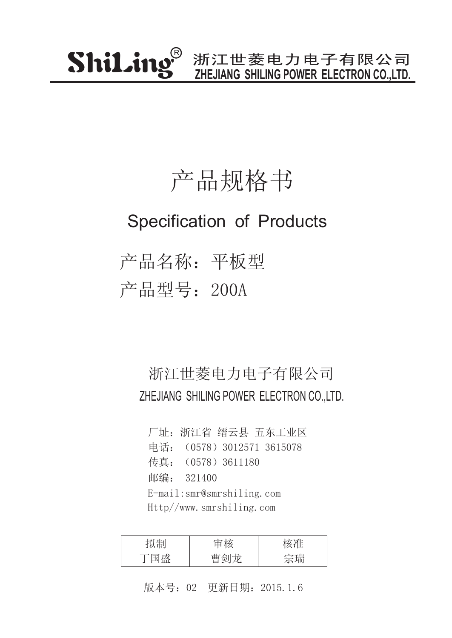### 产品规格书

#### Specification of Products

产品名称:平板型 产品型号:200A

#### 浙江世菱电力电子有限公司 ZHEJIANG SHILING POWER ELECTRON CO.,LTD.

厂址:浙江省 缙云县 五东工业区 传真:(0578)3611180 邮编: 321400 电话: (0578) 3012571 3615078 E-mail:smr@smrshiling.com Http//www.smrshiling.com

| 山山         | 十六 |            |
|------------|----|------------|
| 工団<br>مسسد | حت | 全瑞<br>טיון |

版本号:02 更新日期:2015.1.6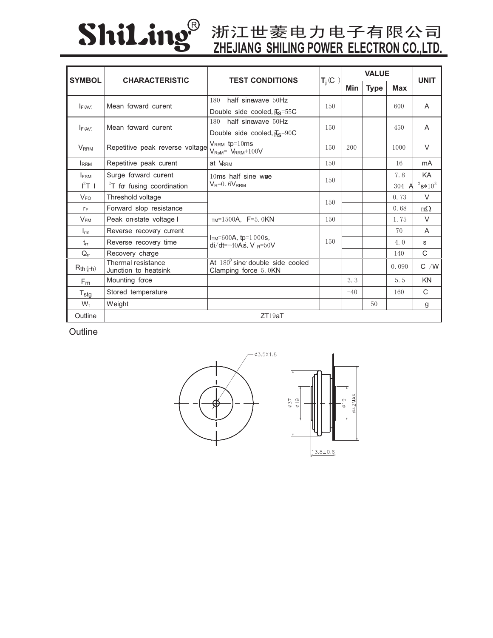

# **Shil.ing** 浙江世菱电力电子有限公司

| <b>SYMBOL</b>                       | <b>CHARACTERISTIC</b>                      | <b>TEST CONDITIONS</b>                                             | $T_j$ (C | <b>VALUE</b> |             |       | <b>UNIT</b>    |
|-------------------------------------|--------------------------------------------|--------------------------------------------------------------------|----------|--------------|-------------|-------|----------------|
|                                     |                                            |                                                                    |          | <b>Min</b>   | <b>Type</b> | Max   |                |
| Mean forward current<br>$I_{F(AV)}$ |                                            | half sinewave 50Hz<br>180                                          | 150      |              |             | 600   | $\overline{A}$ |
|                                     |                                            | Double side cooled, $\overline{H}_{\rm S} = 55$ C                  |          |              |             |       |                |
| $I_{F(AV)}$                         | Mean forward current                       | half sinewave 50Hz<br>180                                          | 150      |              |             | 450   | A              |
|                                     |                                            | Double side cooled, $\overline{\text{H}}_{\text{S}} = 90 \text{C}$ |          |              |             |       |                |
| $V_{RRM}$                           | Repetitive peak reverse voltage            | $V_{RRM}$ tp=10ms<br>$V_{\text{RsM}}$ = $V_{\text{RRM}}$ +100V     | 150      | 200          |             | 1000  | $\vee$         |
| <b>IRRM</b>                         | Repetitive peak current                    | at VRRM                                                            | 150      |              |             | 16    | mA             |
| <b>I</b> <sub>FSM</sub>             | Surge forward current                      | 10ms half sine wae<br>$V_R = 0.6V_{RRM}$                           | 150      |              |             | 7.8   | KA             |
| $I^2T$ 1                            | $2T$ for fusing coordination               |                                                                    |          |              |             | 304 A | $2s*10^3$      |
| $V_{FO}$                            | Threshold voltage                          |                                                                    | 150      |              |             | 0.73  | $\vee$         |
| $r_F$                               | Forward slop resistance                    |                                                                    |          |              |             | 0.68  | $m\Omega$      |
| $V_{FM}$                            | Peak on state voltage I                    | $_{TM}$ =1500A, F=5.0KN                                            | 150      |              |             | 1.75  | $\vee$         |
| $I_{rm}$                            | Reverse recovery current                   | $ITM=600A$ , tp=1 000s,<br>di/dt=-40As, V $_{\rm R}$ =50V          | 150      |              |             | 70    | A              |
| $t_{rr}$                            | Reverse recovery time                      |                                                                    |          |              |             | 4.0   | S              |
| $Q_{rr}$                            | Recovery charge                            |                                                                    |          |              |             | 140   | C              |
| $R_{th (j+h)}$                      | Thermal resistance<br>Junction to heatsink | At $180^{\circ}$ sine double side cooled<br>Clamping force 5.0KN   |          |              |             | 0.090 | $C$ /W         |
| F <sub>m</sub>                      | Mounting face                              |                                                                    |          | 3.3          |             | 5.5   | <b>KN</b>      |
| $T_{\text{stg}}$                    | Stored temperature                         |                                                                    |          | $-40$        |             | 160   | C              |
| $W_t$                               | Weight                                     |                                                                    |          |              | 50          |       | g              |
| Outline                             |                                            | ZT19aT                                                             |          |              |             |       |                |

**Outline**